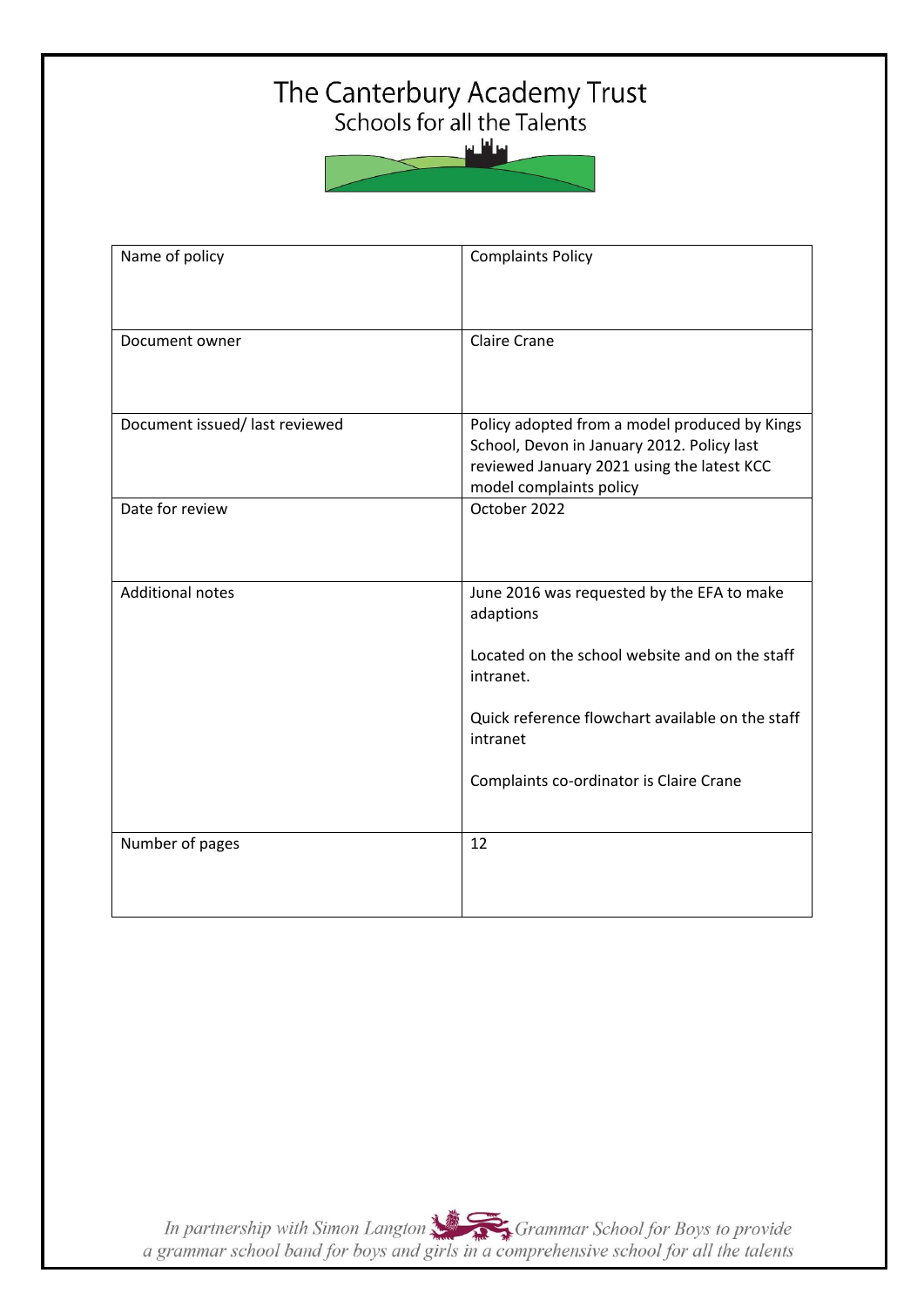# The Canterbury Academy Trust<br>Schools for all the Talents



| Name of policy                | <b>Complaints Policy</b>                                                                                                                                                                                                          |
|-------------------------------|-----------------------------------------------------------------------------------------------------------------------------------------------------------------------------------------------------------------------------------|
| Document owner                | <b>Claire Crane</b>                                                                                                                                                                                                               |
| Document issued/last reviewed | Policy adopted from a model produced by Kings<br>School, Devon in January 2012. Policy last<br>reviewed January 2021 using the latest KCC<br>model complaints policy                                                              |
| Date for review               | October 2022                                                                                                                                                                                                                      |
| <b>Additional notes</b>       | June 2016 was requested by the EFA to make<br>adaptions<br>Located on the school website and on the staff<br>intranet.<br>Quick reference flowchart available on the staff<br>intranet<br>Complaints co-ordinator is Claire Crane |
| Number of pages               | 12                                                                                                                                                                                                                                |

In partnership with Simon Langton Sexting Grammar School for Boys to provide<br>a grammar school band for boys and girls in a comprehensive school for all the talents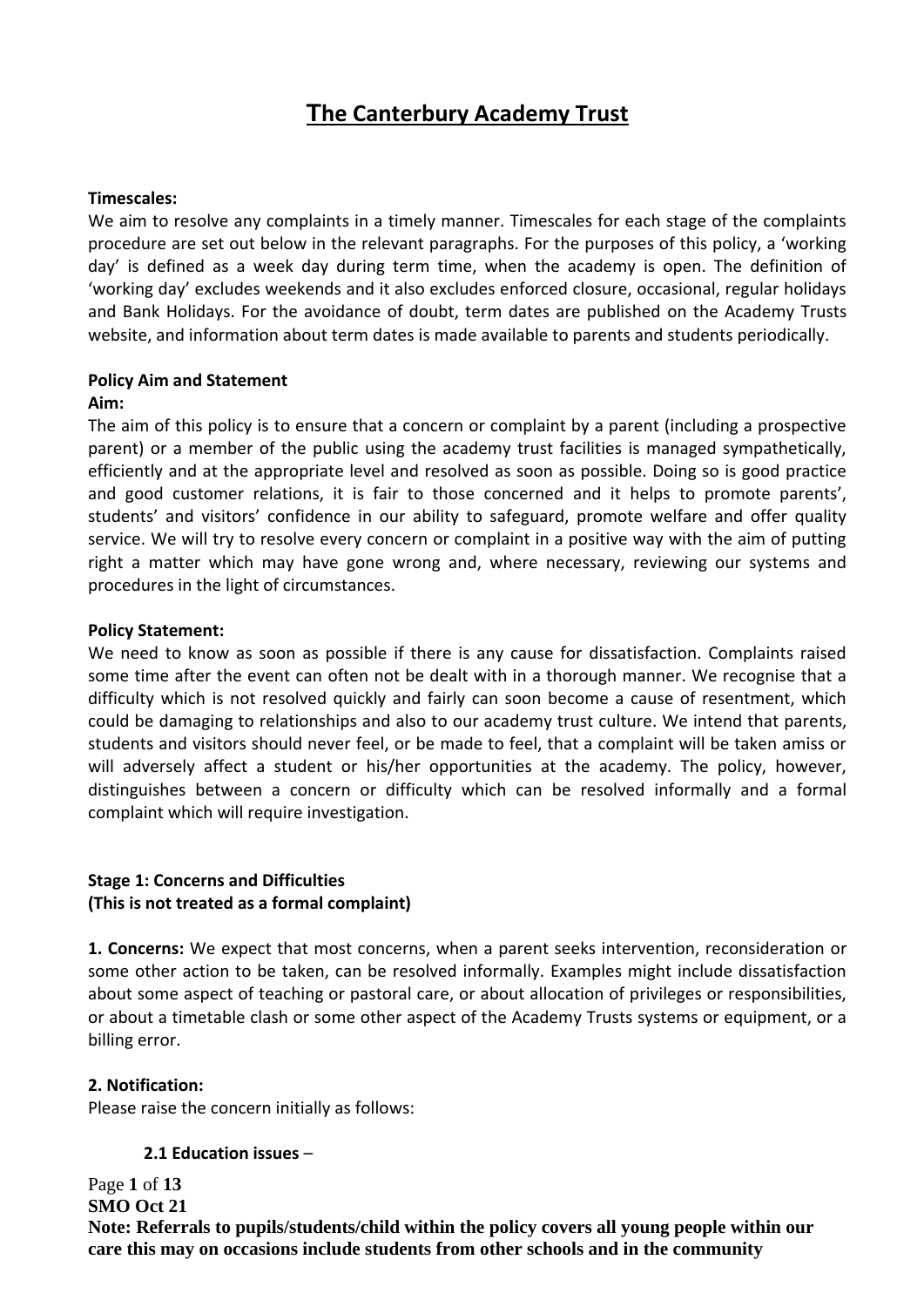# **The Canterbury Academy Trust**

#### **Timescales:**

We aim to resolve any complaints in a timely manner. Timescales for each stage of the complaints procedure are set out below in the relevant paragraphs. For the purposes of this policy, a 'working day' is defined as a week day during term time, when the academy is open. The definition of 'working day' excludes weekends and it also excludes enforced closure, occasional, regular holidays and Bank Holidays. For the avoidance of doubt, term dates are published on the Academy Trusts website, and information about term dates is made available to parents and students periodically.

#### **Policy Aim and Statement**

#### **Aim:**

The aim of this policy is to ensure that a concern or complaint by a parent (including a prospective parent) or a member of the public using the academy trust facilities is managed sympathetically, efficiently and at the appropriate level and resolved as soon as possible. Doing so is good practice and good customer relations, it is fair to those concerned and it helps to promote parents', students' and visitors' confidence in our ability to safeguard, promote welfare and offer quality service. We will try to resolve every concern or complaint in a positive way with the aim of putting right a matter which may have gone wrong and, where necessary, reviewing our systems and procedures in the light of circumstances.

#### **Policy Statement:**

We need to know as soon as possible if there is any cause for dissatisfaction. Complaints raised some time after the event can often not be dealt with in a thorough manner. We recognise that a difficulty which is not resolved quickly and fairly can soon become a cause of resentment, which could be damaging to relationships and also to our academy trust culture. We intend that parents, students and visitors should never feel, or be made to feel, that a complaint will be taken amiss or will adversely affect a student or his/her opportunities at the academy. The policy, however, distinguishes between a concern or difficulty which can be resolved informally and a formal complaint which will require investigation.

#### **Stage 1: Concerns and Difficulties (This is not treated as a formal complaint)**

**1. Concerns:** We expect that most concerns, when a parent seeks intervention, reconsideration or some other action to be taken, can be resolved informally. Examples might include dissatisfaction about some aspect of teaching or pastoral care, or about allocation of privileges or responsibilities, or about a timetable clash or some other aspect of the Academy Trusts systems or equipment, or a billing error.

#### **2. Notification:**

Please raise the concern initially as follows:

#### **2.1 Education issues** –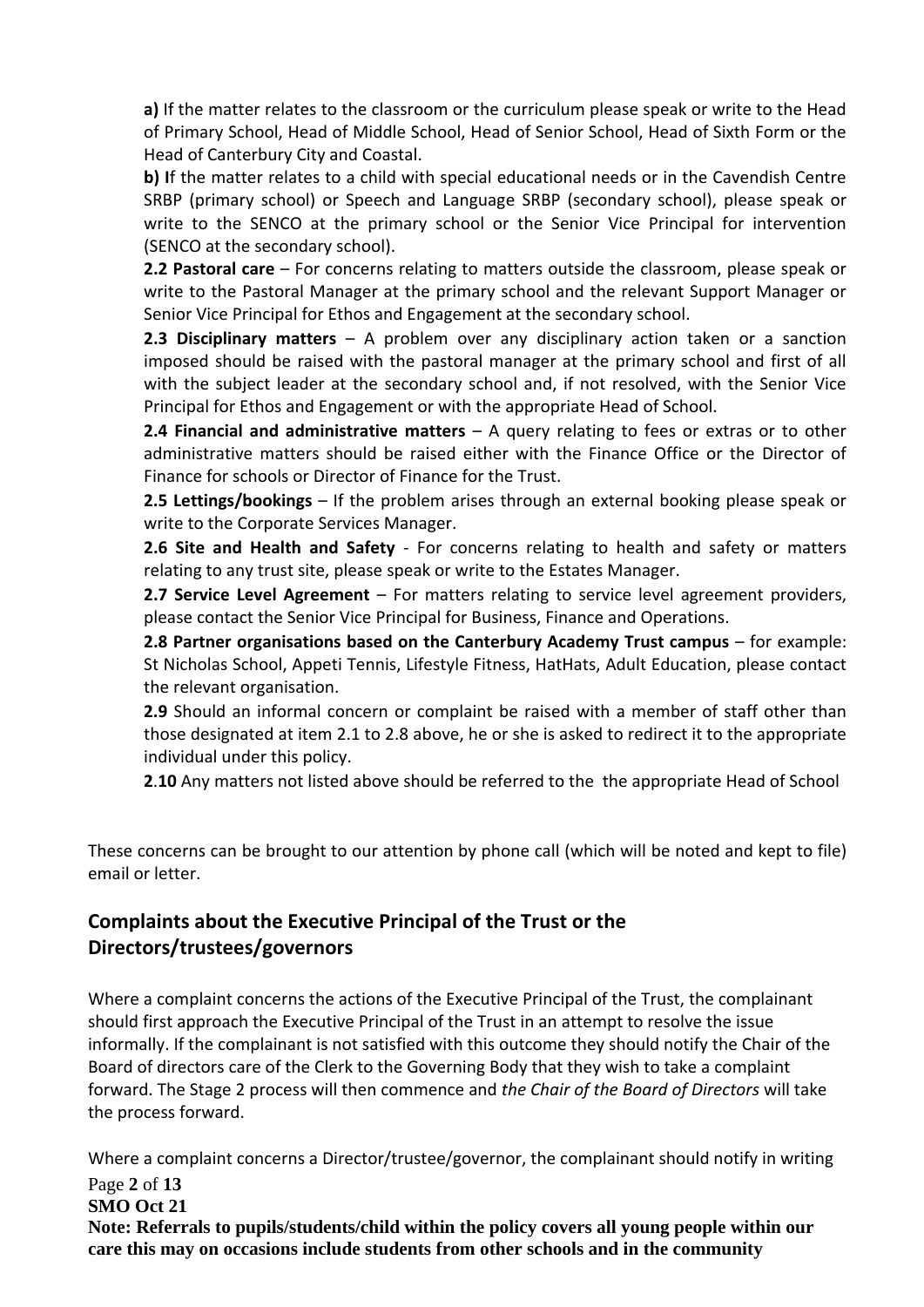**a)** If the matter relates to the classroom or the curriculum please speak or write to the Head of Primary School, Head of Middle School, Head of Senior School, Head of Sixth Form or the Head of Canterbury City and Coastal.

**b) I**f the matter relates to a child with special educational needs or in the Cavendish Centre SRBP (primary school) or Speech and Language SRBP (secondary school), please speak or write to the SENCO at the primary school or the Senior Vice Principal for intervention (SENCO at the secondary school).

**2.2 Pastoral care** – For concerns relating to matters outside the classroom, please speak or write to the Pastoral Manager at the primary school and the relevant Support Manager or Senior Vice Principal for Ethos and Engagement at the secondary school.

**2.3 Disciplinary matters** – A problem over any disciplinary action taken or a sanction imposed should be raised with the pastoral manager at the primary school and first of all with the subject leader at the secondary school and, if not resolved, with the Senior Vice Principal for Ethos and Engagement or with the appropriate Head of School.

**2.4 Financial and administrative matters** – A query relating to fees or extras or to other administrative matters should be raised either with the Finance Office or the Director of Finance for schools or Director of Finance for the Trust.

**2.5 Lettings/bookings** – If the problem arises through an external booking please speak or write to the Corporate Services Manager.

**2.6 Site and Health and Safety** - For concerns relating to health and safety or matters relating to any trust site, please speak or write to the Estates Manager.

**2.7 Service Level Agreement** – For matters relating to service level agreement providers, please contact the Senior Vice Principal for Business, Finance and Operations.

**2.8 Partner organisations based on the Canterbury Academy Trust campus** – for example: St Nicholas School, Appeti Tennis, Lifestyle Fitness, HatHats, Adult Education, please contact the relevant organisation.

**2.9** Should an informal concern or complaint be raised with a member of staff other than those designated at item 2.1 to 2.8 above, he or she is asked to redirect it to the appropriate individual under this policy.

**2**.**10** Any matters not listed above should be referred to the the appropriate Head of School

These concerns can be brought to our attention by phone call (which will be noted and kept to file) email or letter.

# **Complaints about the Executive Principal of the Trust or the Directors/trustees/governors**

Where a complaint concerns the actions of the Executive Principal of the Trust, the complainant should first approach the Executive Principal of the Trust in an attempt to resolve the issue informally. If the complainant is not satisfied with this outcome they should notify the Chair of the Board of directors care of the Clerk to the Governing Body that they wish to take a complaint forward. The Stage 2 process will then commence and *the Chair of the Board of Directors* will take the process forward.

Where a complaint concerns a Director/trustee/governor, the complainant should notify in writing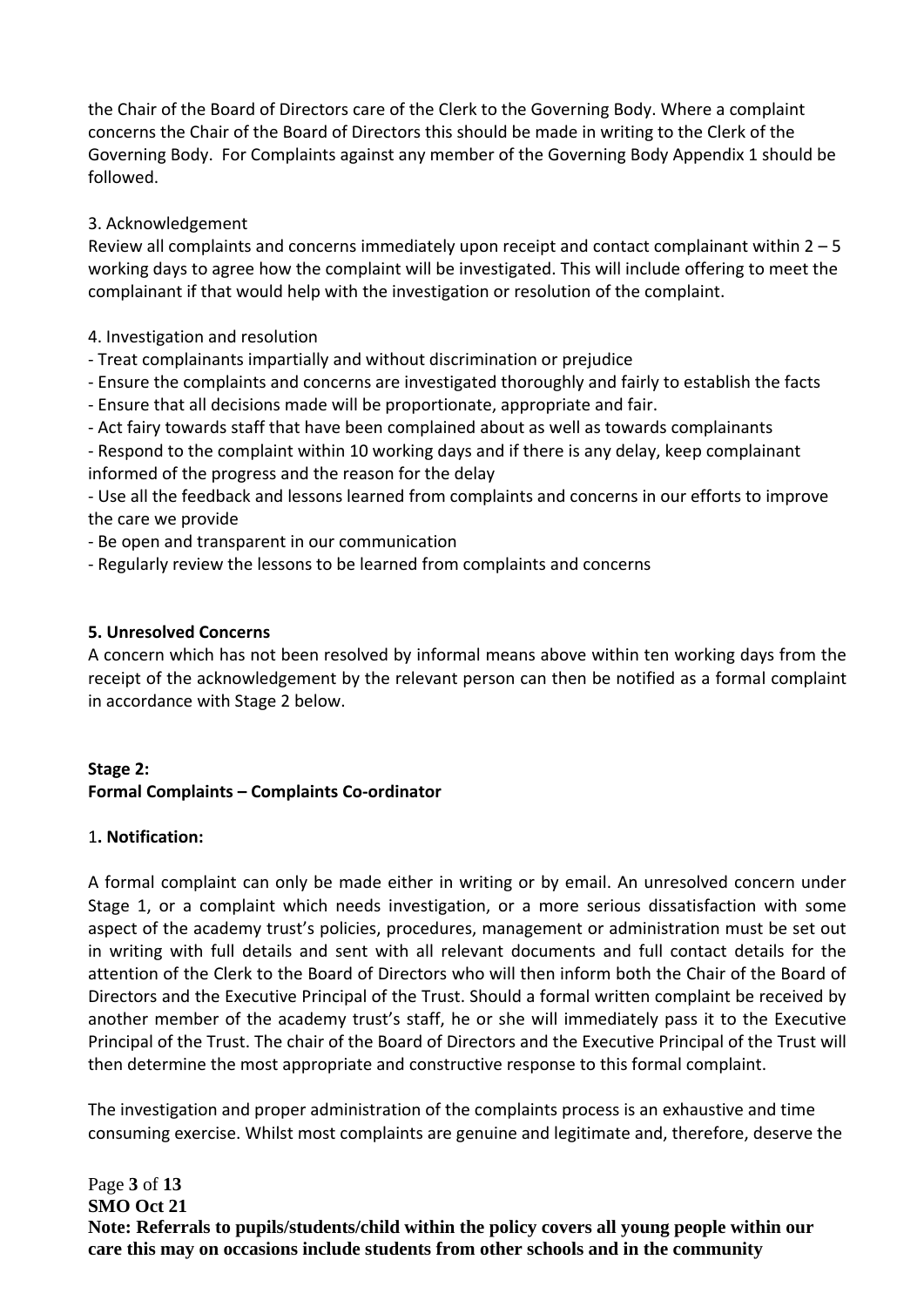the Chair of the Board of Directors care of the Clerk to the Governing Body. Where a complaint concerns the Chair of the Board of Directors this should be made in writing to the Clerk of the Governing Body. For Complaints against any member of the Governing Body Appendix 1 should be followed.

# 3. Acknowledgement

Review all complaints and concerns immediately upon receipt and contact complainant within  $2 - 5$ working days to agree how the complaint will be investigated. This will include offering to meet the complainant if that would help with the investigation or resolution of the complaint.

## 4. Investigation and resolution

- Treat complainants impartially and without discrimination or prejudice
- Ensure the complaints and concerns are investigated thoroughly and fairly to establish the facts
- Ensure that all decisions made will be proportionate, appropriate and fair.
- Act fairy towards staff that have been complained about as well as towards complainants

- Respond to the complaint within 10 working days and if there is any delay, keep complainant informed of the progress and the reason for the delay

- Use all the feedback and lessons learned from complaints and concerns in our efforts to improve the care we provide

- Be open and transparent in our communication
- Regularly review the lessons to be learned from complaints and concerns

#### **5. Unresolved Concerns**

A concern which has not been resolved by informal means above within ten working days from the receipt of the acknowledgement by the relevant person can then be notified as a formal complaint in accordance with Stage 2 below.

# **Stage 2: Formal Complaints – Complaints Co-ordinator**

#### 1**. Notification:**

A formal complaint can only be made either in writing or by email. An unresolved concern under Stage 1, or a complaint which needs investigation, or a more serious dissatisfaction with some aspect of the academy trust's policies, procedures, management or administration must be set out in writing with full details and sent with all relevant documents and full contact details for the attention of the Clerk to the Board of Directors who will then inform both the Chair of the Board of Directors and the Executive Principal of the Trust. Should a formal written complaint be received by another member of the academy trust's staff, he or she will immediately pass it to the Executive Principal of the Trust. The chair of the Board of Directors and the Executive Principal of the Trust will then determine the most appropriate and constructive response to this formal complaint.

The investigation and proper administration of the complaints process is an exhaustive and time consuming exercise. Whilst most complaints are genuine and legitimate and, therefore, deserve the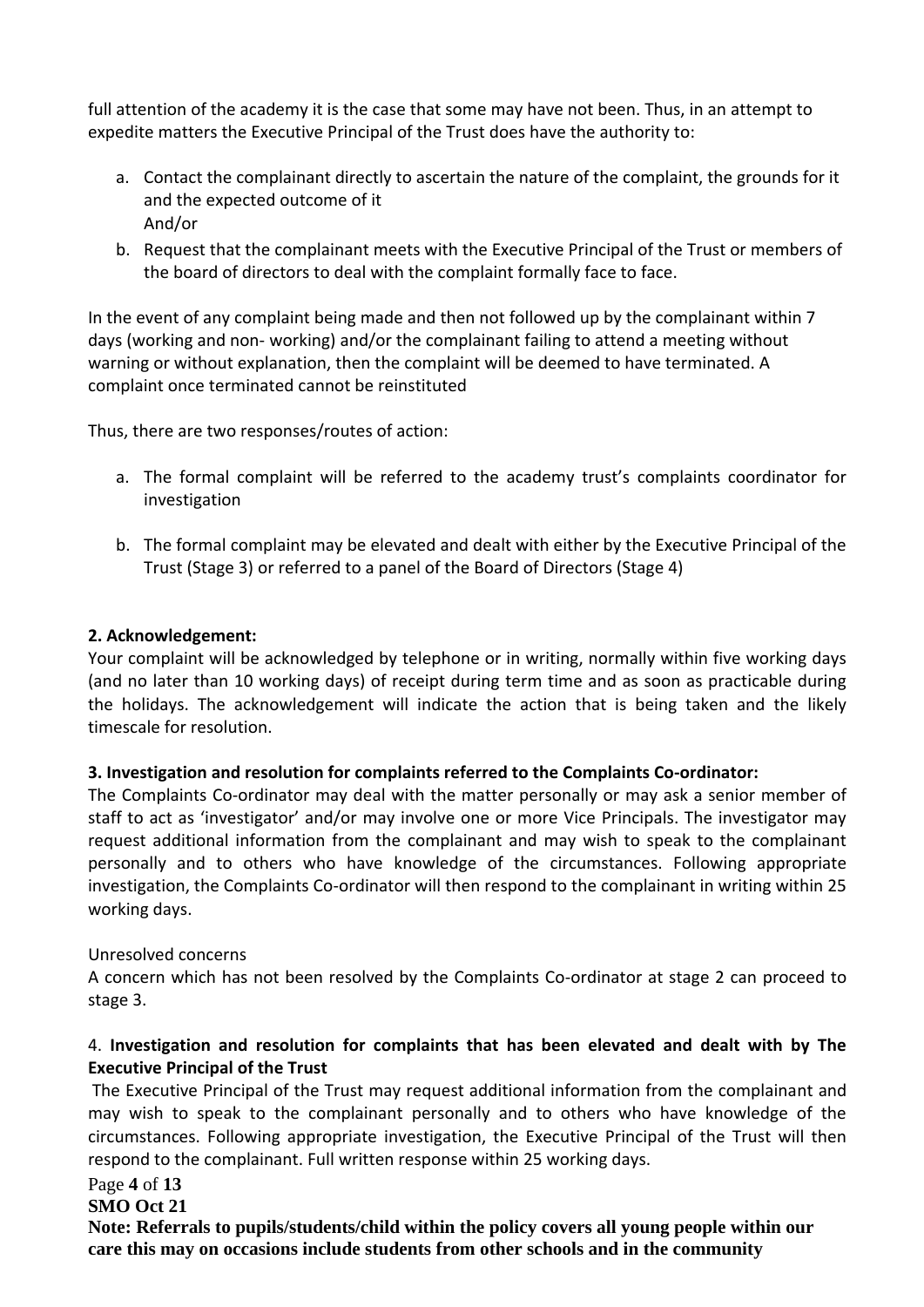full attention of the academy it is the case that some may have not been. Thus, in an attempt to expedite matters the Executive Principal of the Trust does have the authority to:

- a. Contact the complainant directly to ascertain the nature of the complaint, the grounds for it and the expected outcome of it And/or
- b. Request that the complainant meets with the Executive Principal of the Trust or members of the board of directors to deal with the complaint formally face to face.

In the event of any complaint being made and then not followed up by the complainant within 7 days (working and non- working) and/or the complainant failing to attend a meeting without warning or without explanation, then the complaint will be deemed to have terminated. A complaint once terminated cannot be reinstituted

Thus, there are two responses/routes of action:

- a. The formal complaint will be referred to the academy trust's complaints coordinator for investigation
- b. The formal complaint may be elevated and dealt with either by the Executive Principal of the Trust (Stage 3) or referred to a panel of the Board of Directors (Stage 4)

#### **2. Acknowledgement:**

Your complaint will be acknowledged by telephone or in writing, normally within five working days (and no later than 10 working days) of receipt during term time and as soon as practicable during the holidays. The acknowledgement will indicate the action that is being taken and the likely timescale for resolution.

#### **3. Investigation and resolution for complaints referred to the Complaints Co-ordinator:**

The Complaints Co-ordinator may deal with the matter personally or may ask a senior member of staff to act as 'investigator' and/or may involve one or more Vice Principals. The investigator may request additional information from the complainant and may wish to speak to the complainant personally and to others who have knowledge of the circumstances. Following appropriate investigation, the Complaints Co-ordinator will then respond to the complainant in writing within 25 working days.

#### Unresolved concerns

A concern which has not been resolved by the Complaints Co-ordinator at stage 2 can proceed to stage 3.

#### 4. **Investigation and resolution for complaints that has been elevated and dealt with by The Executive Principal of the Trust**

The Executive Principal of the Trust may request additional information from the complainant and may wish to speak to the complainant personally and to others who have knowledge of the circumstances. Following appropriate investigation, the Executive Principal of the Trust will then respond to the complainant. Full written response within 25 working days.

#### Page **4** of **13**

#### **SMO Oct 21**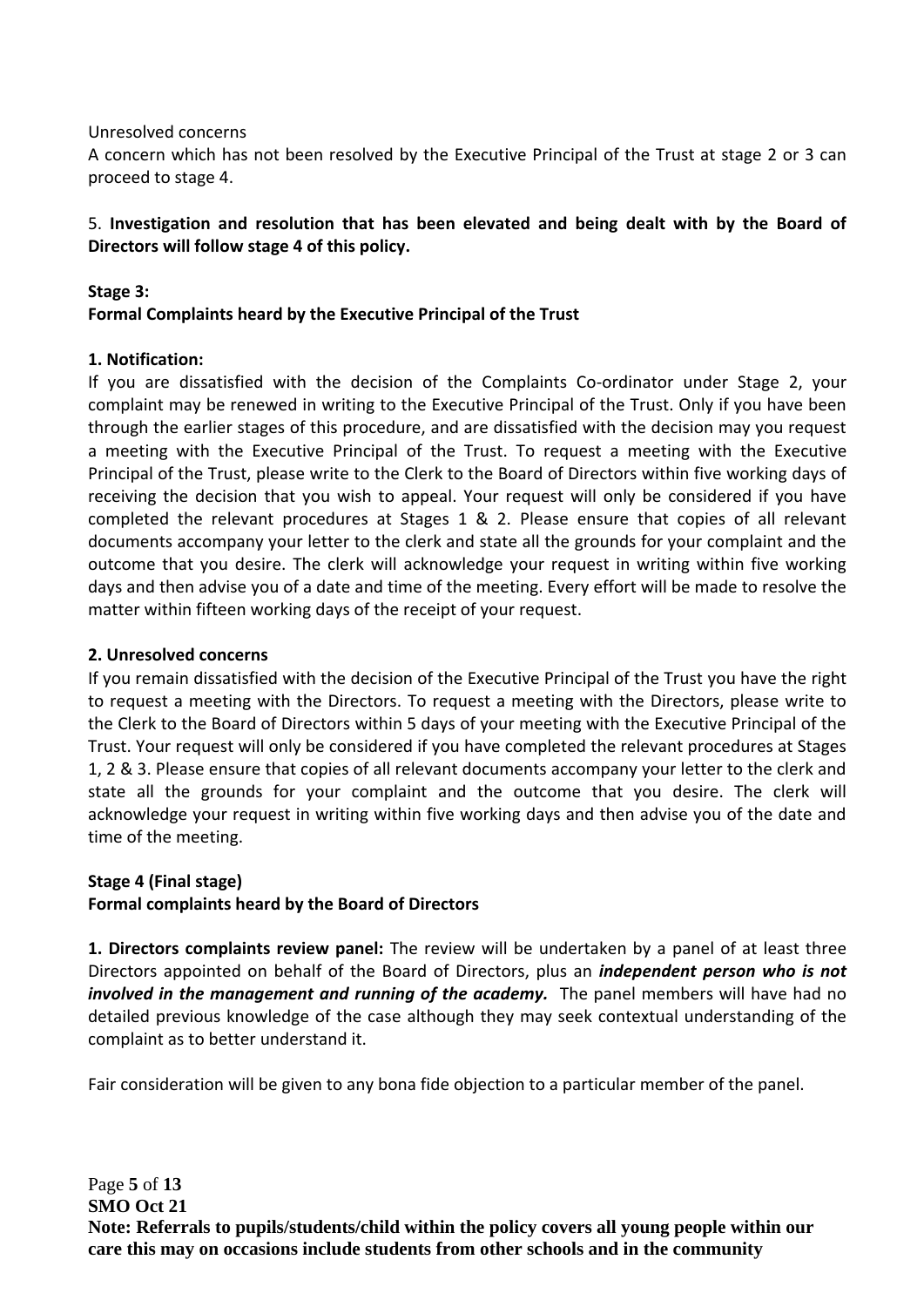Unresolved concerns

A concern which has not been resolved by the Executive Principal of the Trust at stage 2 or 3 can proceed to stage 4.

# 5. **Investigation and resolution that has been elevated and being dealt with by the Board of Directors will follow stage 4 of this policy.**

#### **Stage 3: Formal Complaints heard by the Executive Principal of the Trust**

#### **1. Notification:**

If you are dissatisfied with the decision of the Complaints Co-ordinator under Stage 2, your complaint may be renewed in writing to the Executive Principal of the Trust. Only if you have been through the earlier stages of this procedure, and are dissatisfied with the decision may you request a meeting with the Executive Principal of the Trust. To request a meeting with the Executive Principal of the Trust, please write to the Clerk to the Board of Directors within five working days of receiving the decision that you wish to appeal. Your request will only be considered if you have completed the relevant procedures at Stages 1 & 2. Please ensure that copies of all relevant documents accompany your letter to the clerk and state all the grounds for your complaint and the outcome that you desire. The clerk will acknowledge your request in writing within five working days and then advise you of a date and time of the meeting. Every effort will be made to resolve the matter within fifteen working days of the receipt of your request.

#### **2. Unresolved concerns**

If you remain dissatisfied with the decision of the Executive Principal of the Trust you have the right to request a meeting with the Directors. To request a meeting with the Directors, please write to the Clerk to the Board of Directors within 5 days of your meeting with the Executive Principal of the Trust. Your request will only be considered if you have completed the relevant procedures at Stages 1, 2 & 3. Please ensure that copies of all relevant documents accompany your letter to the clerk and state all the grounds for your complaint and the outcome that you desire. The clerk will acknowledge your request in writing within five working days and then advise you of the date and time of the meeting.

#### **Stage 4 (Final stage)**

#### **Formal complaints heard by the Board of Directors**

**1. Directors complaints review panel:** The review will be undertaken by a panel of at least three Directors appointed on behalf of the Board of Directors, plus an *independent person who is not involved in the management and running of the academy.* The panel members will have had no detailed previous knowledge of the case although they may seek contextual understanding of the complaint as to better understand it.

Fair consideration will be given to any bona fide objection to a particular member of the panel.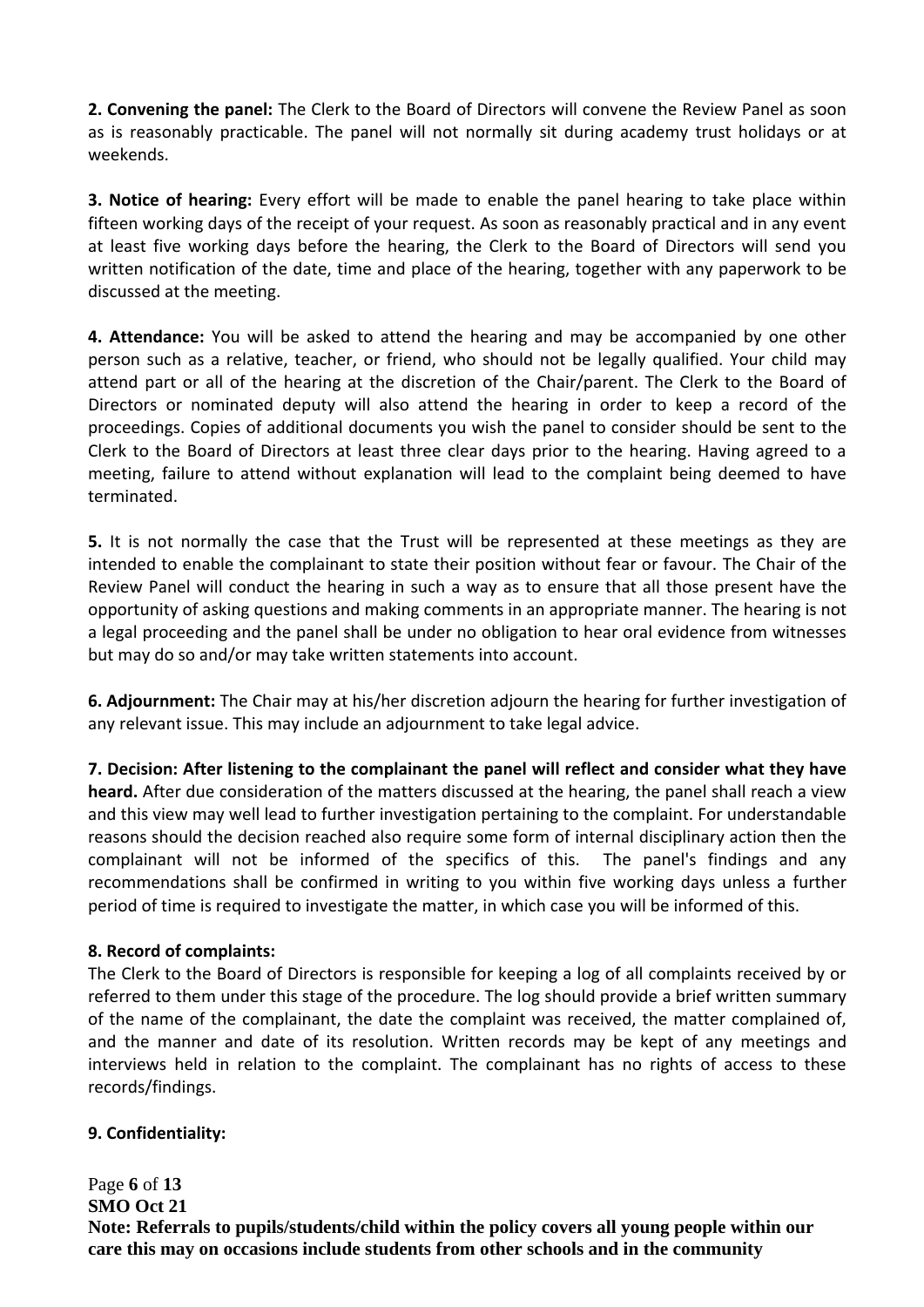**2. Convening the panel:** The Clerk to the Board of Directors will convene the Review Panel as soon as is reasonably practicable. The panel will not normally sit during academy trust holidays or at weekends.

**3. Notice of hearing:** Every effort will be made to enable the panel hearing to take place within fifteen working days of the receipt of your request. As soon as reasonably practical and in any event at least five working days before the hearing, the Clerk to the Board of Directors will send you written notification of the date, time and place of the hearing, together with any paperwork to be discussed at the meeting.

**4. Attendance:** You will be asked to attend the hearing and may be accompanied by one other person such as a relative, teacher, or friend, who should not be legally qualified. Your child may attend part or all of the hearing at the discretion of the Chair/parent. The Clerk to the Board of Directors or nominated deputy will also attend the hearing in order to keep a record of the proceedings. Copies of additional documents you wish the panel to consider should be sent to the Clerk to the Board of Directors at least three clear days prior to the hearing. Having agreed to a meeting, failure to attend without explanation will lead to the complaint being deemed to have terminated.

**5.** It is not normally the case that the Trust will be represented at these meetings as they are intended to enable the complainant to state their position without fear or favour. The Chair of the Review Panel will conduct the hearing in such a way as to ensure that all those present have the opportunity of asking questions and making comments in an appropriate manner. The hearing is not a legal proceeding and the panel shall be under no obligation to hear oral evidence from witnesses but may do so and/or may take written statements into account.

**6. Adjournment:** The Chair may at his/her discretion adjourn the hearing for further investigation of any relevant issue. This may include an adjournment to take legal advice.

**7. Decision: After listening to the complainant the panel will reflect and consider what they have heard.** After due consideration of the matters discussed at the hearing, the panel shall reach a view and this view may well lead to further investigation pertaining to the complaint. For understandable reasons should the decision reached also require some form of internal disciplinary action then the complainant will not be informed of the specifics of this. The panel's findings and any recommendations shall be confirmed in writing to you within five working days unless a further period of time is required to investigate the matter, in which case you will be informed of this.

#### **8. Record of complaints:**

The Clerk to the Board of Directors is responsible for keeping a log of all complaints received by or referred to them under this stage of the procedure. The log should provide a brief written summary of the name of the complainant, the date the complaint was received, the matter complained of, and the manner and date of its resolution. Written records may be kept of any meetings and interviews held in relation to the complaint. The complainant has no rights of access to these records/findings.

#### **9. Confidentiality:**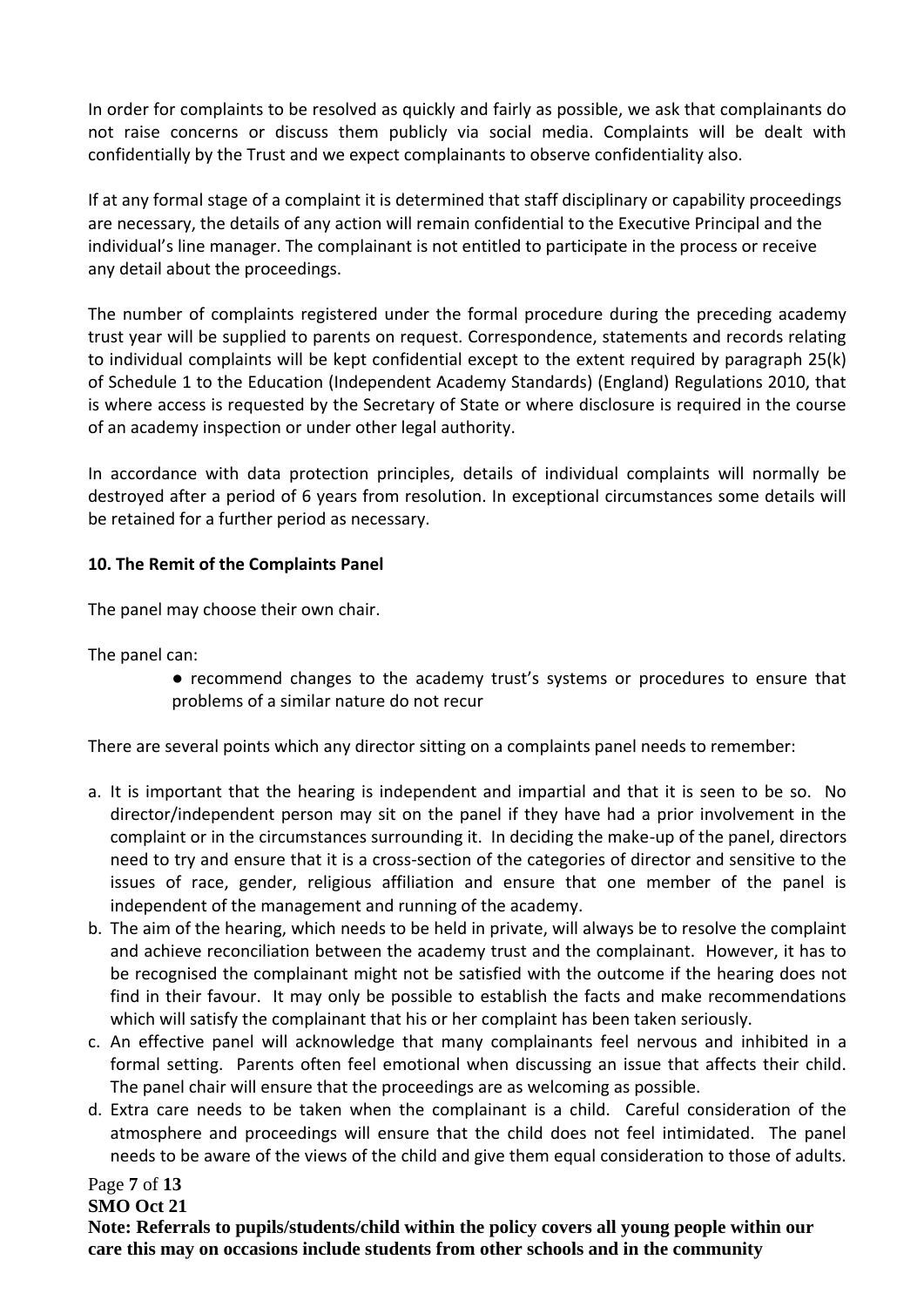In order for complaints to be resolved as quickly and fairly as possible, we ask that complainants do not raise concerns or discuss them publicly via social media. Complaints will be dealt with confidentially by the Trust and we expect complainants to observe confidentiality also.

If at any formal stage of a complaint it is determined that staff disciplinary or capability proceedings are necessary, the details of any action will remain confidential to the Executive Principal and the individual's line manager. The complainant is not entitled to participate in the process or receive any detail about the proceedings.

The number of complaints registered under the formal procedure during the preceding academy trust year will be supplied to parents on request. Correspondence, statements and records relating to individual complaints will be kept confidential except to the extent required by paragraph 25(k) of Schedule 1 to the Education (Independent Academy Standards) (England) Regulations 2010, that is where access is requested by the Secretary of State or where disclosure is required in the course of an academy inspection or under other legal authority.

In accordance with data protection principles, details of individual complaints will normally be destroyed after a period of 6 years from resolution. In exceptional circumstances some details will be retained for a further period as necessary.

# **10. The Remit of the Complaints Panel**

The panel may choose their own chair.

The panel can:

● recommend changes to the academy trust's systems or procedures to ensure that problems of a similar nature do not recur

There are several points which any director sitting on a complaints panel needs to remember:

- a. It is important that the hearing is independent and impartial and that it is seen to be so. No director/independent person may sit on the panel if they have had a prior involvement in the complaint or in the circumstances surrounding it. In deciding the make-up of the panel, directors need to try and ensure that it is a cross-section of the categories of director and sensitive to the issues of race, gender, religious affiliation and ensure that one member of the panel is independent of the management and running of the academy.
- b. The aim of the hearing, which needs to be held in private, will always be to resolve the complaint and achieve reconciliation between the academy trust and the complainant. However, it has to be recognised the complainant might not be satisfied with the outcome if the hearing does not find in their favour. It may only be possible to establish the facts and make recommendations which will satisfy the complainant that his or her complaint has been taken seriously.
- c. An effective panel will acknowledge that many complainants feel nervous and inhibited in a formal setting. Parents often feel emotional when discussing an issue that affects their child. The panel chair will ensure that the proceedings are as welcoming as possible.
- d. Extra care needs to be taken when the complainant is a child. Careful consideration of the atmosphere and proceedings will ensure that the child does not feel intimidated. The panel needs to be aware of the views of the child and give them equal consideration to those of adults.

# Page **7** of **13**

#### **SMO Oct 21**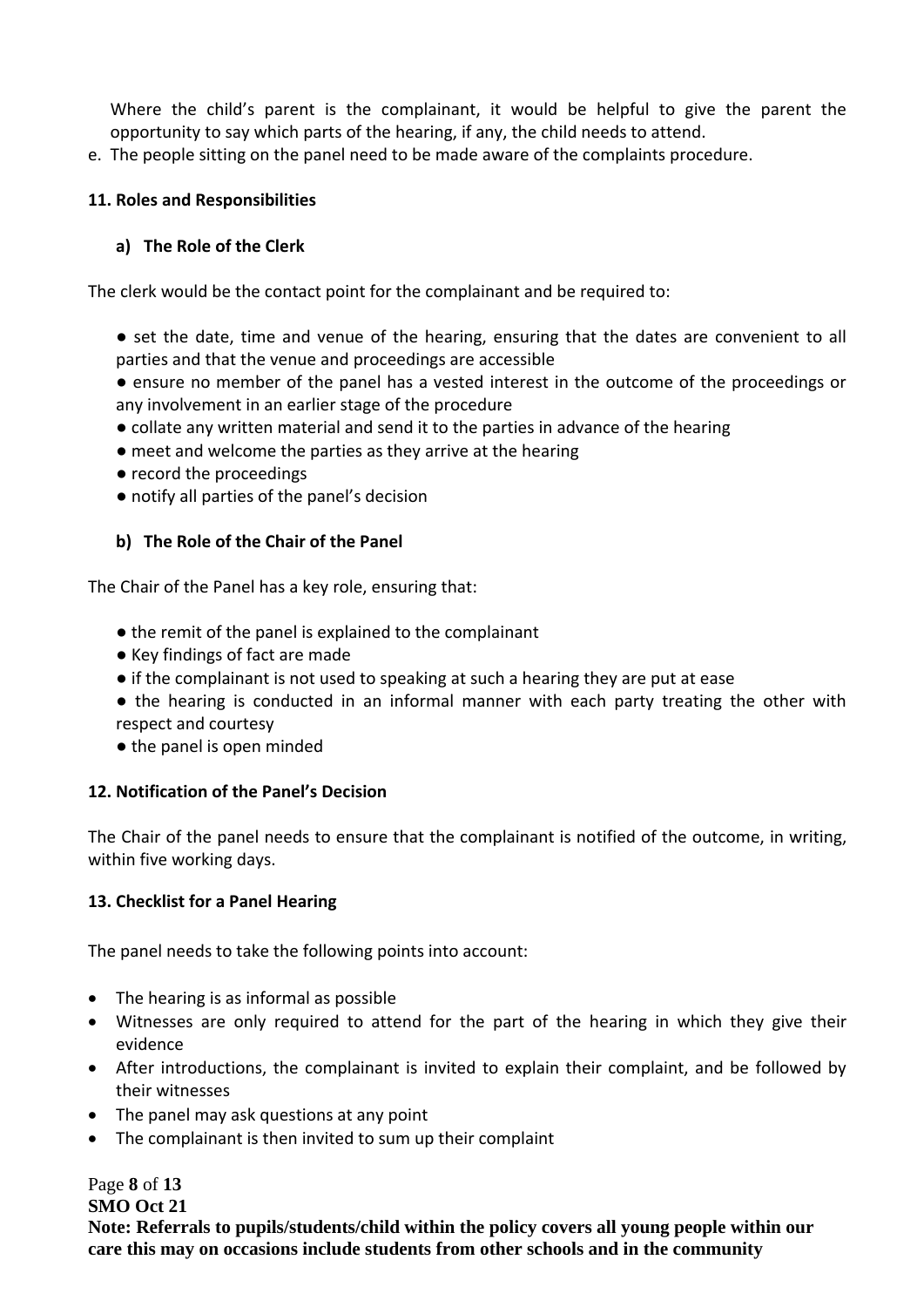Where the child's parent is the complainant, it would be helpful to give the parent the opportunity to say which parts of the hearing, if any, the child needs to attend.

e. The people sitting on the panel need to be made aware of the complaints procedure.

#### **11. Roles and Responsibilities**

#### **a) The Role of the Clerk**

The clerk would be the contact point for the complainant and be required to:

● set the date, time and venue of the hearing, ensuring that the dates are convenient to all parties and that the venue and proceedings are accessible

● ensure no member of the panel has a vested interest in the outcome of the proceedings or any involvement in an earlier stage of the procedure

- collate any written material and send it to the parties in advance of the hearing
- meet and welcome the parties as they arrive at the hearing
- record the proceedings
- notify all parties of the panel's decision

#### **b) The Role of the Chair of the Panel**

The Chair of the Panel has a key role, ensuring that:

- the remit of the panel is explained to the complainant
- Key findings of fact are made
- if the complainant is not used to speaking at such a hearing they are put at ease
- the hearing is conducted in an informal manner with each party treating the other with respect and courtesy
- the panel is open minded

#### **12. Notification of the Panel's Decision**

The Chair of the panel needs to ensure that the complainant is notified of the outcome, in writing, within five working days.

#### **13. Checklist for a Panel Hearing**

The panel needs to take the following points into account:

- The hearing is as informal as possible
- Witnesses are only required to attend for the part of the hearing in which they give their evidence
- After introductions, the complainant is invited to explain their complaint, and be followed by their witnesses
- The panel may ask questions at any point
- The complainant is then invited to sum up their complaint

# Page **8** of **13**

**SMO Oct 21**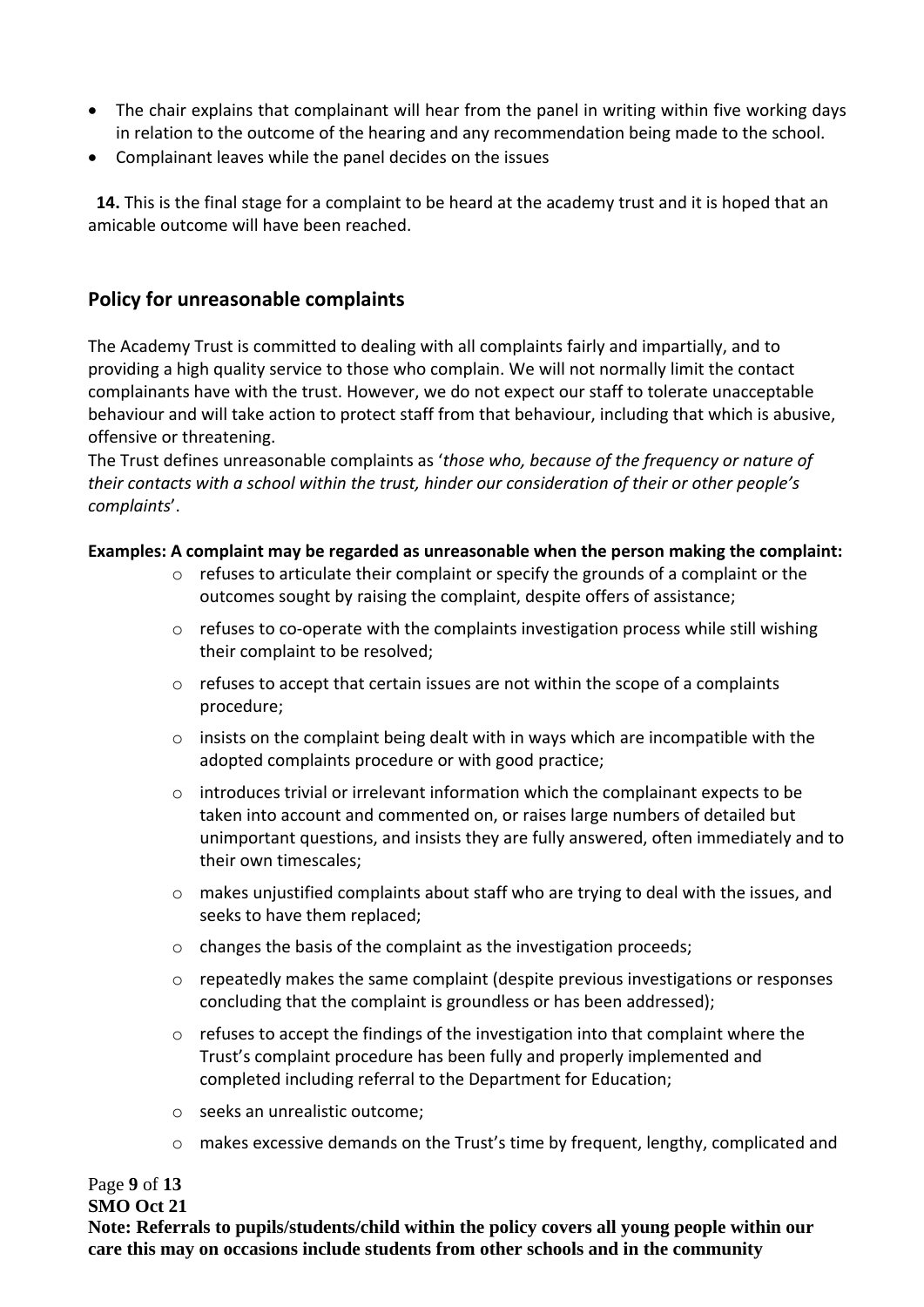- The chair explains that complainant will hear from the panel in writing within five working days in relation to the outcome of the hearing and any recommendation being made to the school.
- Complainant leaves while the panel decides on the issues

 **14.** This is the final stage for a complaint to be heard at the academy trust and it is hoped that an amicable outcome will have been reached.

# **Policy for unreasonable complaints**

The Academy Trust is committed to dealing with all complaints fairly and impartially, and to providing a high quality service to those who complain. We will not normally limit the contact complainants have with the trust. However, we do not expect our staff to tolerate unacceptable behaviour and will take action to protect staff from that behaviour, including that which is abusive, offensive or threatening.

The Trust defines unreasonable complaints as '*those who, because of the frequency or nature of their contacts with a school within the trust, hinder our consideration of their or other people's complaints*'.

#### **Examples: A complaint may be regarded as unreasonable when the person making the complaint:**

- $\circ$  refuses to articulate their complaint or specify the grounds of a complaint or the outcomes sought by raising the complaint, despite offers of assistance;
- o refuses to co-operate with the complaints investigation process while still wishing their complaint to be resolved;
- $\circ$  refuses to accept that certain issues are not within the scope of a complaints procedure;
- o insists on the complaint being dealt with in ways which are incompatible with the adopted complaints procedure or with good practice;
- $\circ$  introduces trivial or irrelevant information which the complainant expects to be taken into account and commented on, or raises large numbers of detailed but unimportant questions, and insists they are fully answered, often immediately and to their own timescales;
- $\circ$  makes unjustified complaints about staff who are trying to deal with the issues, and seeks to have them replaced;
- o changes the basis of the complaint as the investigation proceeds;
- $\circ$  repeatedly makes the same complaint (despite previous investigations or responses concluding that the complaint is groundless or has been addressed);
- $\circ$  refuses to accept the findings of the investigation into that complaint where the Trust's complaint procedure has been fully and properly implemented and completed including referral to the Department for Education;
- o seeks an unrealistic outcome;
- o makes excessive demands on the Trust's time by frequent, lengthy, complicated and

#### Page **9** of **13**

#### **SMO Oct 21**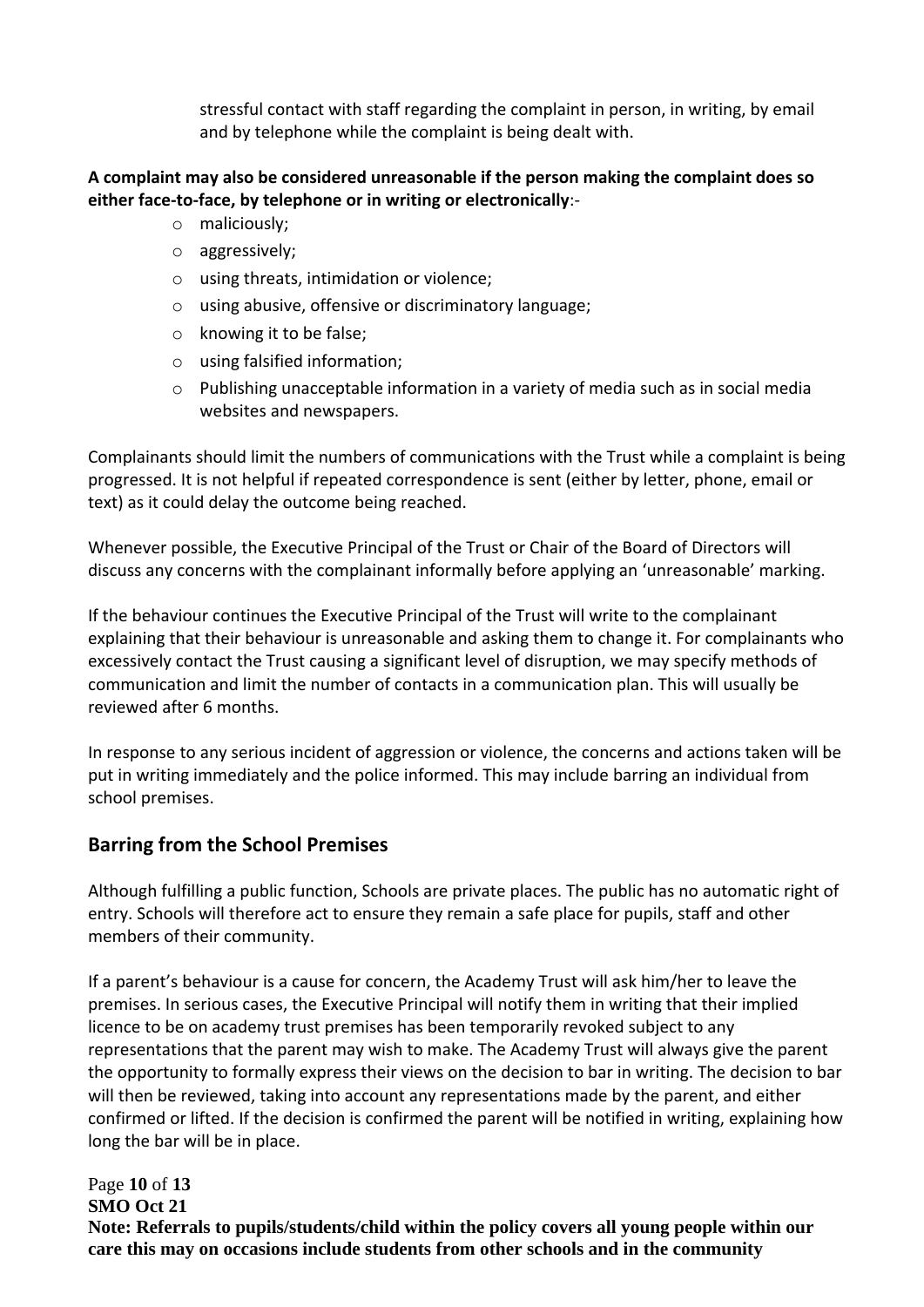stressful contact with staff regarding the complaint in person, in writing, by email and by telephone while the complaint is being dealt with.

#### **A complaint may also be considered unreasonable if the person making the complaint does so either face-to-face, by telephone or in writing or electronically**:-

- o maliciously;
- o aggressively;
- o using threats, intimidation or violence;
- o using abusive, offensive or discriminatory language;
- o knowing it to be false;
- o using falsified information;
- o Publishing unacceptable information in a variety of media such as in social media websites and newspapers.

Complainants should limit the numbers of communications with the Trust while a complaint is being progressed. It is not helpful if repeated correspondence is sent (either by letter, phone, email or text) as it could delay the outcome being reached.

Whenever possible, the Executive Principal of the Trust or Chair of the Board of Directors will discuss any concerns with the complainant informally before applying an 'unreasonable' marking.

If the behaviour continues the Executive Principal of the Trust will write to the complainant explaining that their behaviour is unreasonable and asking them to change it. For complainants who excessively contact the Trust causing a significant level of disruption, we may specify methods of communication and limit the number of contacts in a communication plan. This will usually be reviewed after 6 months.

In response to any serious incident of aggression or violence, the concerns and actions taken will be put in writing immediately and the police informed. This may include barring an individual from school premises.

# **Barring from the School Premises**

Although fulfilling a public function, Schools are private places. The public has no automatic right of entry. Schools will therefore act to ensure they remain a safe place for pupils, staff and other members of their community.

If a parent's behaviour is a cause for concern, the Academy Trust will ask him/her to leave the premises. In serious cases, the Executive Principal will notify them in writing that their implied licence to be on academy trust premises has been temporarily revoked subject to any representations that the parent may wish to make. The Academy Trust will always give the parent the opportunity to formally express their views on the decision to bar in writing. The decision to bar will then be reviewed, taking into account any representations made by the parent, and either confirmed or lifted. If the decision is confirmed the parent will be notified in writing, explaining how long the bar will be in place.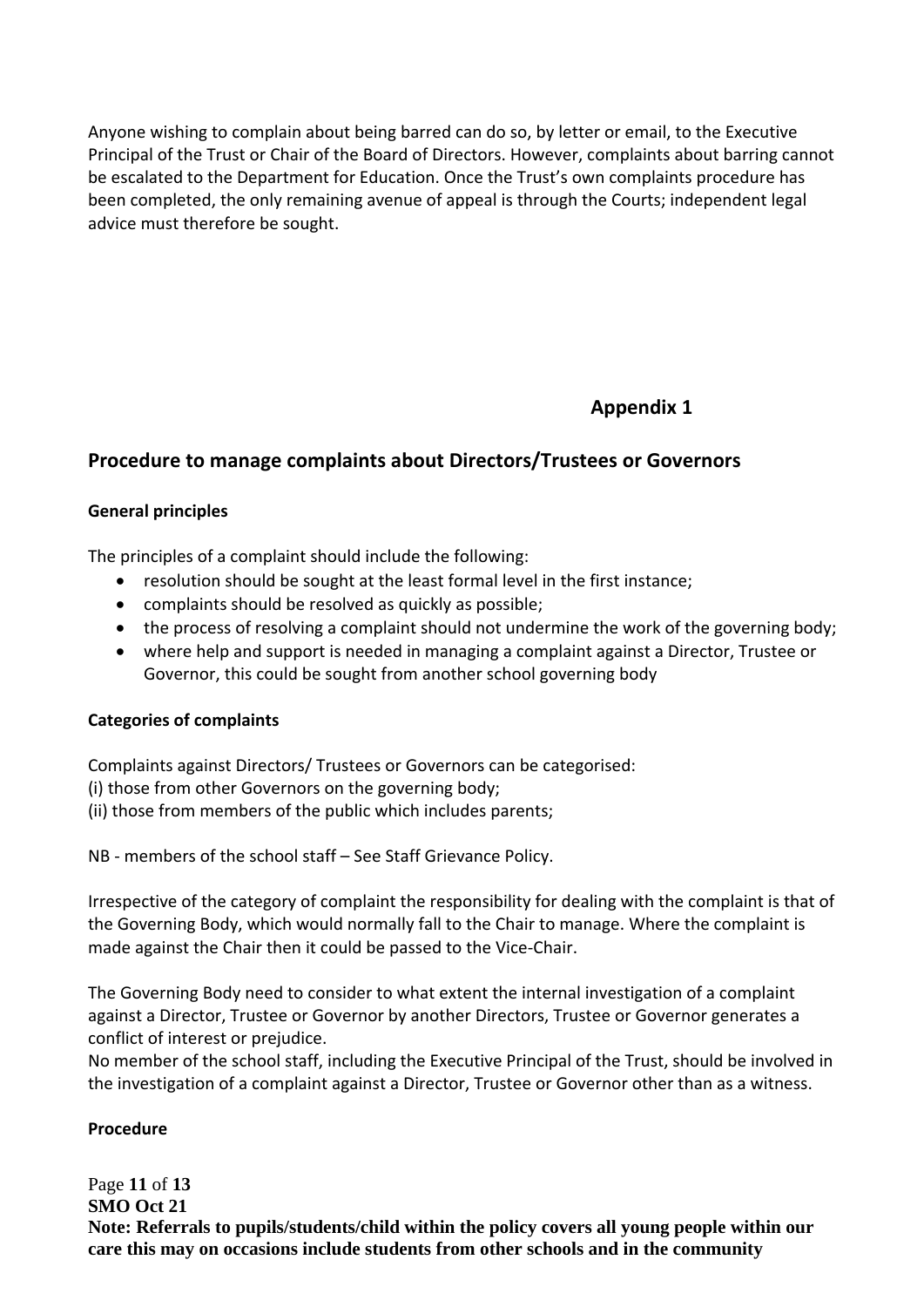Anyone wishing to complain about being barred can do so, by letter or email, to the Executive Principal of the Trust or Chair of the Board of Directors. However, complaints about barring cannot be escalated to the Department for Education. Once the Trust's own complaints procedure has been completed, the only remaining avenue of appeal is through the Courts; independent legal advice must therefore be sought.

# **Appendix 1**

# **Procedure to manage complaints about Directors/Trustees or Governors**

#### **General principles**

The principles of a complaint should include the following:

- resolution should be sought at the least formal level in the first instance;
- complaints should be resolved as quickly as possible;
- the process of resolving a complaint should not undermine the work of the governing body;
- where help and support is needed in managing a complaint against a Director, Trustee or Governor, this could be sought from another school governing body

#### **Categories of complaints**

Complaints against Directors/ Trustees or Governors can be categorised:

- (i) those from other Governors on the governing body;
- (ii) those from members of the public which includes parents;

NB - members of the school staff – See Staff Grievance Policy.

Irrespective of the category of complaint the responsibility for dealing with the complaint is that of the Governing Body, which would normally fall to the Chair to manage. Where the complaint is made against the Chair then it could be passed to the Vice-Chair.

The Governing Body need to consider to what extent the internal investigation of a complaint against a Director, Trustee or Governor by another Directors, Trustee or Governor generates a conflict of interest or prejudice.

No member of the school staff, including the Executive Principal of the Trust, should be involved in the investigation of a complaint against a Director, Trustee or Governor other than as a witness.

#### **Procedure**